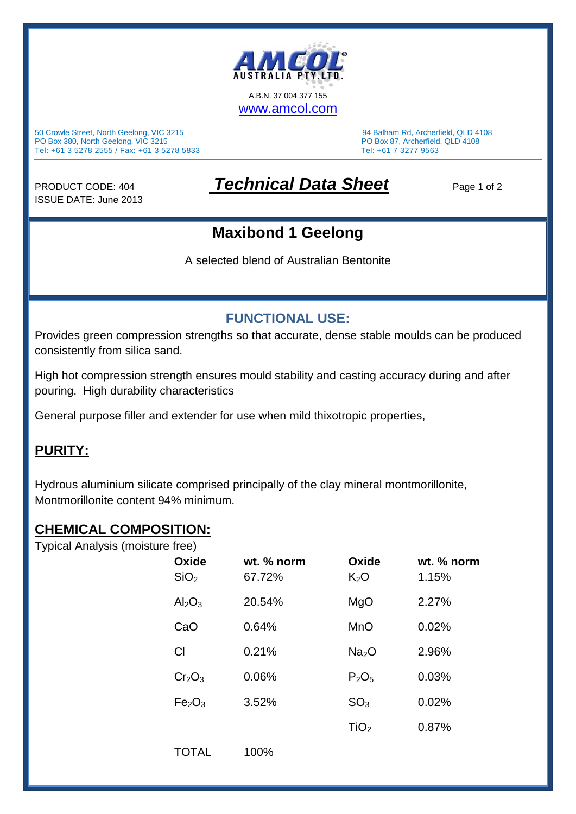

50 Crowle Street, North Geelong, VIC 3215 94 Balham Rd, Archerfield, QLD 4108 PO Box 380, North Geelong, VIC 3215 PO Box 87, Archerfield, QLD 4108 Tel: +61 3 5278 2555 / Fax: +61 3 5278 5833 Tel: +61 7 3277 9563

ISSUE DATE: June 2013

# PRODUCT CODE: 404 *Technical Data Sheet* Page 1 of 2

## **Maxibond 1 Geelong**

A selected blend of Australian Bentonite

### **FUNCTIONAL USE:**

Provides green compression strengths so that accurate, dense stable moulds can be produced consistently from silica sand.

High hot compression strength ensures mould stability and casting accuracy during and after pouring. High durability characteristics

General purpose filler and extender for use when mild thixotropic properties,

#### **PURITY:**

Hydrous aluminium silicate comprised principally of the clay mineral montmorillonite, Montmorillonite content 94% minimum.

#### **CHEMICAL COMPOSITION:**

Typical Analysis (moisture free)

| Oxide<br>SiO <sub>2</sub>      | wt. % norm<br>67.72% | Oxide<br>K <sub>2</sub> O | wt. % norm<br>1.15% |
|--------------------------------|----------------------|---------------------------|---------------------|
| Al <sub>2</sub> O <sub>3</sub> | 20.54%               | MgO                       | 2.27%               |
| CaO                            | 0.64%                | <b>MnO</b>                | 0.02%               |
| C <sub>l</sub>                 | 0.21%                | Na <sub>2</sub> O         | 2.96%               |
| Cr <sub>2</sub> O <sub>3</sub> | 0.06%                | $P_2O_5$                  | 0.03%               |
| Fe <sub>2</sub> O <sub>3</sub> | 3.52%                | SO <sub>3</sub>           | 0.02%               |
|                                |                      | TiO <sub>2</sub>          | 0.87%               |
| <b>TOTAL</b>                   | 100%                 |                           |                     |